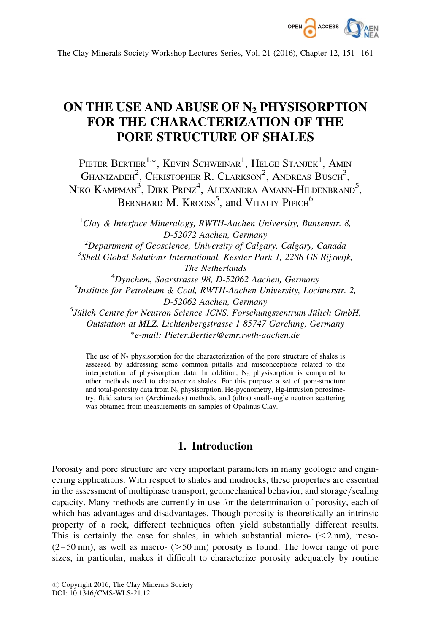

# ON THE USE AND ABUSE OF N<sub>2</sub> PHYSISORPTION FOR THE CHARACTERIZATION OF THE PORE STRUCTURE OF SHALES

Pieter Bertier<sup>1,\*</sup>, Kevin Schweinar<sup>1</sup>, Helge Stanjek<sup>1</sup>, Amin Ghanizadeh<sup>2</sup>, Christopher R. Clarkson<sup>2</sup>, Andreas Busch<sup>3</sup>, Niko Kampman $^3$ , Dirk Prinz $^4$ , Alexandra Amann-Hildenbrand $^5,$ BERNHARD M. KROOSS<sup>5</sup>, and VITALIY PIPICH<sup>6</sup>

 ${}^{1}$ Clay & Interface Mineralogy, RWTH-Aachen University, Bunsenstr. 8, D-52072 Aachen, Germany

 $^{2}$ Department of Geoscience, University of Calgary, Calgary, Canada <sup>3</sup>Shell Global Solutions International, Kessler Park 1, 2288 GS Rijswijk, The Netherlands

4 Dynchem, Saarstrasse 98, D-52062 Aachen, Germany <sup>5</sup>Institute for Petroleum & Coal, RWTH-Aachen University, Lochnerstr. 2, D-52062 Aachen, Germany

 $^6$ Jülich Centre for Neutron Science JCNS, Forschungszentrum Jülich GmbH, Outstation at MLZ, Lichtenbergstrasse 1 85747 Garching, Germany -e-mail: Pieter.Bertier@emr.rwth-aachen.de

The use of  $N_2$  physisorption for the characterization of the pore structure of shales is assessed by addressing some common pitfalls and misconceptions related to the interpretation of physisorption data. In addition,  $N_2$  physisorption is compared to other methods used to characterize shales. For this purpose a set of pore-structure and total-porosity data from  $N_2$  physisorption, He-pycnometry, Hg-intrusion porosimetry, fluid saturation (Archimedes) methods, and (ultra) small-angle neutron scattering was obtained from measurements on samples of Opalinus Clay.

# 1. Introduction

Porosity and pore structure are very important parameters in many geologic and engineering applications. With respect to shales and mudrocks, these properties are essential in the assessment of multiphase transport, geomechanical behavior, and storage/sealing capacity. Many methods are currently in use for the determination of porosity, each of which has advantages and disadvantages. Though porosity is theoretically an intrinsic property of a rock, different techniques often yield substantially different results. This is certainly the case for shales, in which substantial micro-  $(< 2 \text{ nm}$ ), meso- $(2-50 \text{ nm})$ , as well as macro-  $(50 \text{ nm})$  porosity is found. The lower range of pore sizes, in particular, makes it difficult to characterize porosity adequately by routine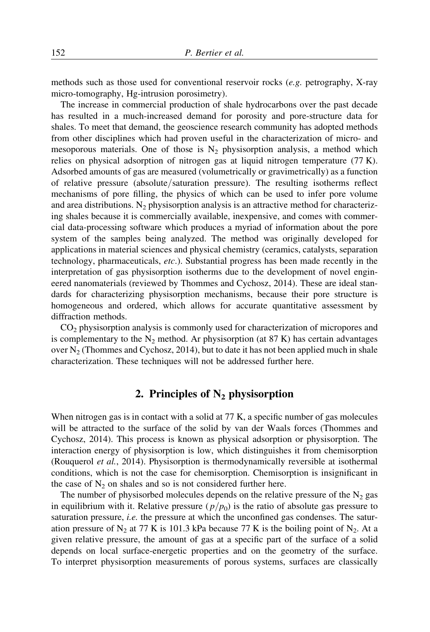methods such as those used for conventional reservoir rocks (e.g. petrography, X-ray micro-tomography, Hg-intrusion porosimetry).

The increase in commercial production of shale hydrocarbons over the past decade has resulted in a much-increased demand for porosity and pore-structure data for shales. To meet that demand, the geoscience research community has adopted methods from other disciplines which had proven useful in the characterization of micro- and mesoporous materials. One of those is  $N_2$  physisorption analysis, a method which relies on physical adsorption of nitrogen gas at liquid nitrogen temperature (77 K). Adsorbed amounts of gas are measured (volumetrically or gravimetrically) as a function of relative pressure (absolute/saturation pressure). The resulting isotherms reflect mechanisms of pore filling, the physics of which can be used to infer pore volume and area distributions. N<sub>2</sub> physisorption analysis is an attractive method for characterizing shales because it is commercially available, inexpensive, and comes with commercial data-processing software which produces a myriad of information about the pore system of the samples being analyzed. The method was originally developed for applications in material sciences and physical chemistry (ceramics, catalysts, separation technology, pharmaceuticals, etc.). Substantial progress has been made recently in the interpretation of gas physisorption isotherms due to the development of novel engineered nanomaterials (reviewed by Thommes and Cychosz, 2014). These are ideal standards for characterizing physisorption mechanisms, because their pore structure is homogeneous and ordered, which allows for accurate quantitative assessment by diffraction methods.

CO2 physisorption analysis is commonly used for characterization of micropores and is complementary to the  $N_2$  method. Ar physisorption (at 87 K) has certain advantages over  $N_2$  (Thommes and Cychosz, 2014), but to date it has not been applied much in shale characterization. These techniques will not be addressed further here.

# 2. Principles of  $N_2$  physisorption

When nitrogen gas is in contact with a solid at 77 K, a specific number of gas molecules will be attracted to the surface of the solid by van der Waals forces (Thommes and Cychosz, 2014). This process is known as physical adsorption or physisorption. The interaction energy of physisorption is low, which distinguishes it from chemisorption (Rouquerol et al., 2014). Physisorption is thermodynamically reversible at isothermal conditions, which is not the case for chemisorption. Chemisorption is insignificant in the case of  $N_2$  on shales and so is not considered further here.

The number of physisorbed molecules depends on the relative pressure of the  $N_2$  gas in equilibrium with it. Relative pressure  $(p/p_0)$  is the ratio of absolute gas pressure to saturation pressure, *i.e.* the pressure at which the unconfined gas condenses. The saturation pressure of  $N_2$  at 77 K is 101.3 kPa because 77 K is the boiling point of  $N_2$ . At a given relative pressure, the amount of gas at a specific part of the surface of a solid depends on local surface-energetic properties and on the geometry of the surface. To interpret physisorption measurements of porous systems, surfaces are classically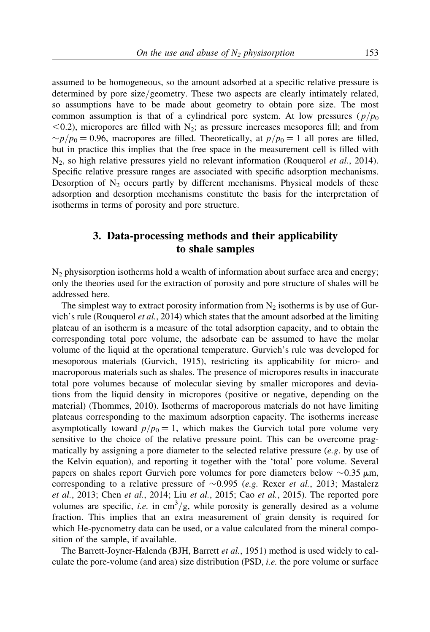assumed to be homogeneous, so the amount adsorbed at a specific relative pressure is determined by pore size/geometry. These two aspects are clearly intimately related, so assumptions have to be made about geometry to obtain pore size. The most common assumption is that of a cylindrical pore system. At low pressures  $(p/p_0)$  $<$ 0.2), micropores are filled with N<sub>2</sub>; as pressure increases mesopores fill; and from  $\sim p/p_0 = 0.96$ , macropores are filled. Theoretically, at  $p/p_0 = 1$  all pores are filled, but in practice this implies that the free space in the measurement cell is filled with  $N_2$ , so high relative pressures yield no relevant information (Rouquerol *et al.*, 2014). Specific relative pressure ranges are associated with specific adsorption mechanisms. Desorption of  $N_2$  occurs partly by different mechanisms. Physical models of these adsorption and desorption mechanisms constitute the basis for the interpretation of isotherms in terms of porosity and pore structure.

# 3. Data-processing methods and their applicability to shale samples

 $N_2$  physisorption isotherms hold a wealth of information about surface area and energy; only the theories used for the extraction of porosity and pore structure of shales will be addressed here.

The simplest way to extract porosity information from  $N_2$  isotherms is by use of Gurvich's rule (Rouquerol *et al.*, 2014) which states that the amount adsorbed at the limiting plateau of an isotherm is a measure of the total adsorption capacity, and to obtain the corresponding total pore volume, the adsorbate can be assumed to have the molar volume of the liquid at the operational temperature. Gurvich's rule was developed for mesoporous materials (Gurvich, 1915), restricting its applicability for micro- and macroporous materials such as shales. The presence of micropores results in inaccurate total pore volumes because of molecular sieving by smaller micropores and deviations from the liquid density in micropores (positive or negative, depending on the material) (Thommes, 2010). Isotherms of macroporous materials do not have limiting plateaus corresponding to the maximum adsorption capacity. The isotherms increase asymptotically toward  $p/p_0 = 1$ , which makes the Gurvich total pore volume very sensitive to the choice of the relative pressure point. This can be overcome pragmatically by assigning a pore diameter to the selected relative pressure  $(e.g.$  by use of the Kelvin equation), and reporting it together with the 'total' pore volume. Several papers on shales report Gurvich pore volumes for pore diameters below  $\sim$  0.35  $\mu$ m, corresponding to a relative pressure of  $\sim 0.995$  (e.g. Rexer et al., 2013; Mastalerz et al., 2013; Chen et al., 2014; Liu et al., 2015; Cao et al., 2015). The reported pore volumes are specific, *i.e.* in  $cm^3/g$ , while porosity is generally desired as a volume fraction. This implies that an extra measurement of grain density is required for which He-pycnometry data can be used, or a value calculated from the mineral composition of the sample, if available.

The Barrett-Joyner-Halenda (BJH, Barrett et al., 1951) method is used widely to calculate the pore-volume (and area) size distribution (PSD, i.e. the pore volume or surface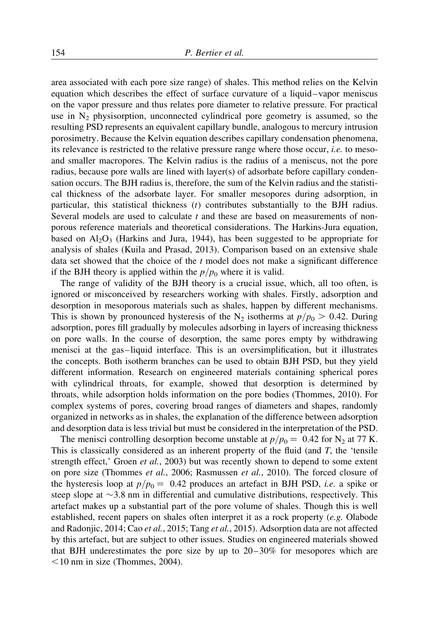area associated with each pore size range) of shales. This method relies on the Kelvin equation which describes the effect of surface curvature of a liquid – vapor meniscus on the vapor pressure and thus relates pore diameter to relative pressure. For practical use in  $N_2$  physisorption, unconnected cylindrical pore geometry is assumed, so the resulting PSD represents an equivalent capillary bundle, analogous to mercury intrusion porosimetry. Because the Kelvin equation describes capillary condensation phenomena, its relevance is restricted to the relative pressure range where those occur, i.e. to mesoand smaller macropores. The Kelvin radius is the radius of a meniscus, not the pore radius, because pore walls are lined with layer(s) of adsorbate before capillary condensation occurs. The BJH radius is, therefore, the sum of the Kelvin radius and the statistical thickness of the adsorbate layer. For smaller mesopores during adsorption, in particular, this statistical thickness (t) contributes substantially to the BJH radius. Several models are used to calculate  $t$  and these are based on measurements of nonporous reference materials and theoretical considerations. The Harkins-Jura equation, based on  $Al_2O_3$  (Harkins and Jura, 1944), has been suggested to be appropriate for analysis of shales (Kuila and Prasad, 2013). Comparison based on an extensive shale data set showed that the choice of the  $t$  model does not make a significant difference if the BJH theory is applied within the  $p/p_0$  where it is valid.

The range of validity of the BJH theory is a crucial issue, which, all too often, is ignored or misconceived by researchers working with shales. Firstly, adsorption and desorption in mesoporous materials such as shales, happen by different mechanisms. This is shown by pronounced hysteresis of the N<sub>2</sub> isotherms at  $p/p_0 > 0.42$ . During adsorption, pores fill gradually by molecules adsorbing in layers of increasing thickness on pore walls. In the course of desorption, the same pores empty by withdrawing menisci at the gas –liquid interface. This is an oversimplification, but it illustrates the concepts. Both isotherm branches can be used to obtain BJH PSD, but they yield different information. Research on engineered materials containing spherical pores with cylindrical throats, for example, showed that desorption is determined by throats, while adsorption holds information on the pore bodies (Thommes, 2010). For complex systems of pores, covering broad ranges of diameters and shapes, randomly organized in networks as in shales, the explanation of the difference between adsorption and desorption data is less trivial but must be considered in the interpretation of the PSD.

The menisci controlling desorption become unstable at  $p/p_0 = 0.42$  for N<sub>2</sub> at 77 K. This is classically considered as an inherent property of the fluid (and  $T$ , the 'tensile strength effect,' Groen *et al.*, 2003) but was recently shown to depend to some extent on pore size (Thommes et al., 2006; Rasmussen et al., 2010). The forced closure of the hysteresis loop at  $p/p_0 = 0.42$  produces an artefact in BJH PSD, *i.e.* a spike or steep slope at  $\sim$ 3.8 nm in differential and cumulative distributions, respectively. This artefact makes up a substantial part of the pore volume of shales. Though this is well established, recent papers on shales often interpret it as a rock property (e.g. Olabode and Radonjic, 2014; Cao et al., 2015; Tang et al., 2015). Adsorption data are not affected by this artefact, but are subject to other issues. Studies on engineered materials showed that BJH underestimates the pore size by up to 20– 30% for mesopores which are  $\leq$ 10 nm in size (Thommes, 2004).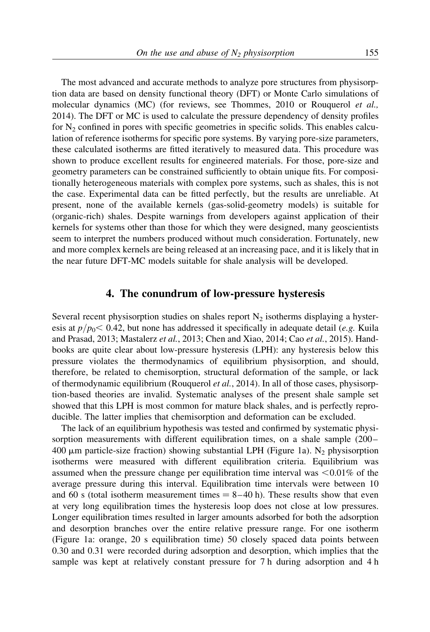The most advanced and accurate methods to analyze pore structures from physisorption data are based on density functional theory (DFT) or Monte Carlo simulations of molecular dynamics (MC) (for reviews, see Thommes, 2010 or Rouquerol et al., 2014). The DFT or MC is used to calculate the pressure dependency of density profiles for  $N<sub>2</sub>$  confined in pores with specific geometries in specific solids. This enables calculation of reference isotherms for specific pore systems. By varying pore-size parameters, these calculated isotherms are fitted iteratively to measured data. This procedure was shown to produce excellent results for engineered materials. For those, pore-size and geometry parameters can be constrained sufficiently to obtain unique fits. For compositionally heterogeneous materials with complex pore systems, such as shales, this is not the case. Experimental data can be fitted perfectly, but the results are unreliable. At present, none of the available kernels (gas-solid-geometry models) is suitable for (organic-rich) shales. Despite warnings from developers against application of their kernels for systems other than those for which they were designed, many geoscientists seem to interpret the numbers produced without much consideration. Fortunately, new and more complex kernels are being released at an increasing pace, and it is likely that in the near future DFT-MC models suitable for shale analysis will be developed.

## 4. The conundrum of low-pressure hysteresis

Several recent physisorption studies on shales report  $N_2$  isotherms displaying a hysteresis at  $p/p_0 < 0.42$ , but none has addressed it specifically in adequate detail (e.g. Kuila and Prasad, 2013; Mastalerz et al., 2013; Chen and Xiao, 2014; Cao et al., 2015). Handbooks are quite clear about low-pressure hysteresis (LPH): any hysteresis below this pressure violates the thermodynamics of equilibrium physisorption, and should, therefore, be related to chemisorption, structural deformation of the sample, or lack of thermodynamic equilibrium (Rouquerol et al., 2014). In all of those cases, physisorption-based theories are invalid. Systematic analyses of the present shale sample set showed that this LPH is most common for mature black shales, and is perfectly reproducible. The latter implies that chemisorption and deformation can be excluded.

The lack of an equilibrium hypothesis was tested and confirmed by systematic physisorption measurements with different equilibration times, on a shale sample (200 – 400  $\mu$ m particle-size fraction) showing substantial LPH (Figure 1a). N<sub>2</sub> physisorption isotherms were measured with different equilibration criteria. Equilibrium was assumed when the pressure change per equilibration time interval was  $\leq 0.01\%$  of the average pressure during this interval. Equilibration time intervals were between 10 and 60 s (total isotherm measurement times  $= 8-40$  h). These results show that even at very long equilibration times the hysteresis loop does not close at low pressures. Longer equilibration times resulted in larger amounts adsorbed for both the adsorption and desorption branches over the entire relative pressure range. For one isotherm (Figure 1a: orange, 20 s equilibration time) 50 closely spaced data points between 0.30 and 0.31 were recorded during adsorption and desorption, which implies that the sample was kept at relatively constant pressure for 7 h during adsorption and 4 h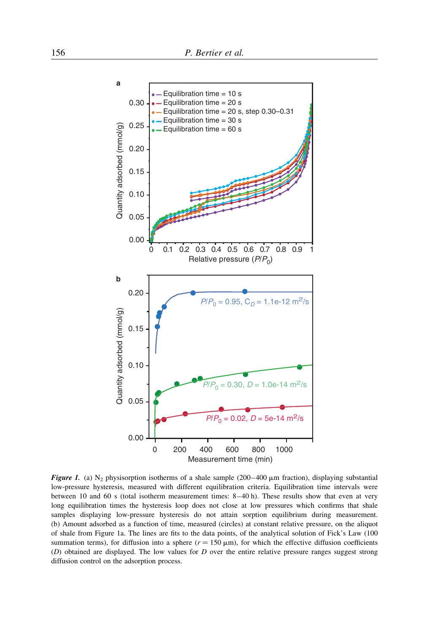

**Figure 1.** (a) N<sub>2</sub> physisorption isotherms of a shale sample (200–400  $\mu$ m fraction), displaying substantial low-pressure hysteresis, measured with different equilibration criteria. Equilibration time intervals were between 10 and 60 s (total isotherm measurement times: 8 –40 h). These results show that even at very long equilibration times the hysteresis loop does not close at low pressures which confirms that shale samples displaying low-pressure hysteresis do not attain sorption equilibrium during measurement. (b) Amount adsorbed as a function of time, measured (circles) at constant relative pressure, on the aliquot of shale from Figure 1a. The lines are fits to the data points, of the analytical solution of Fick's Law (100 summation terms), for diffusion into a sphere ( $r = 150 \mu m$ ), for which the effective diffusion coefficients (D) obtained are displayed. The low values for D over the entire relative pressure ranges suggest strong diffusion control on the adsorption process.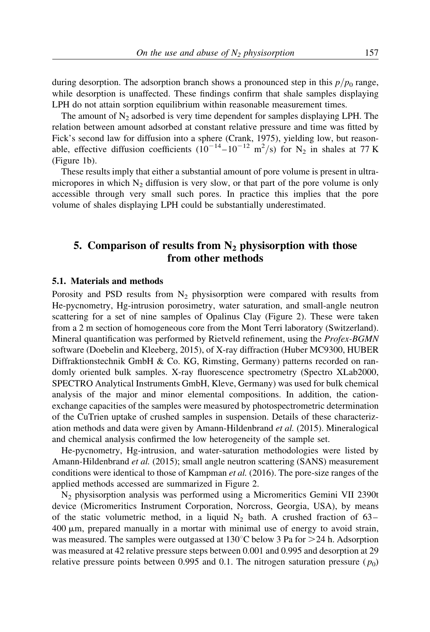during desorption. The adsorption branch shows a pronounced step in this  $p/p_0$  range, while desorption is unaffected. These findings confirm that shale samples displaying LPH do not attain sorption equilibrium within reasonable measurement times.

The amount of  $N_2$  adsorbed is very time dependent for samples displaying LPH. The relation between amount adsorbed at constant relative pressure and time was fitted by Fick's second law for diffusion into a sphere (Crank, 1975), yielding low, but reasonable, effective diffusion coefficients  $(10^{-14} - 10^{-12} \text{ m}^2/\text{s})$  for N<sub>2</sub> in shales at 77 K (Figure 1b).

These results imply that either a substantial amount of pore volume is present in ultramicropores in which  $N_2$  diffusion is very slow, or that part of the pore volume is only accessible through very small such pores. In practice this implies that the pore volume of shales displaying LPH could be substantially underestimated.

## 5. Comparison of results from  $N_2$  physisorption with those from other methods

#### 5.1. Materials and methods

Porosity and PSD results from  $N_2$  physisorption were compared with results from He-pycnometry, Hg-intrusion porosimetry, water saturation, and small-angle neutron scattering for a set of nine samples of Opalinus Clay (Figure 2). These were taken from a 2 m section of homogeneous core from the Mont Terri laboratory (Switzerland). Mineral quantification was performed by Rietveld refinement, using the Profex-BGMN software (Doebelin and Kleeberg, 2015), of X-ray diffraction (Huber MC9300, HUBER Diffraktionstechnik GmbH & Co. KG, Rimsting, Germany) patterns recorded on randomly oriented bulk samples. X-ray fluorescence spectrometry (Spectro XLab2000, SPECTRO Analytical Instruments GmbH, Kleve, Germany) was used for bulk chemical analysis of the major and minor elemental compositions. In addition, the cationexchange capacities of the samples were measured by photospectrometric determination of the CuTrien uptake of crushed samples in suspension. Details of these characterization methods and data were given by Amann-Hildenbrand et al. (2015). Mineralogical and chemical analysis confirmed the low heterogeneity of the sample set.

He-pycnometry, Hg-intrusion, and water-saturation methodologies were listed by Amann-Hildenbrand *et al.* (2015); small angle neutron scattering (SANS) measurement conditions were identical to those of Kampman *et al.* (2016). The pore-size ranges of the applied methods accessed are summarized in Figure 2.

N2 physisorption analysis was performed using a Micromeritics Gemini VII 2390t device (Micromeritics Instrument Corporation, Norcross, Georgia, USA), by means of the static volumetric method, in a liquid  $N_2$  bath. A crushed fraction of 63–  $400 \mu m$ , prepared manually in a mortar with minimal use of energy to avoid strain, was measured. The samples were outgassed at  $130^{\circ}$ C below 3 Pa for  $>24$  h. Adsorption was measured at 42 relative pressure steps between 0.001 and 0.995 and desorption at 29 relative pressure points between 0.995 and 0.1. The nitrogen saturation pressure  $(p_0)$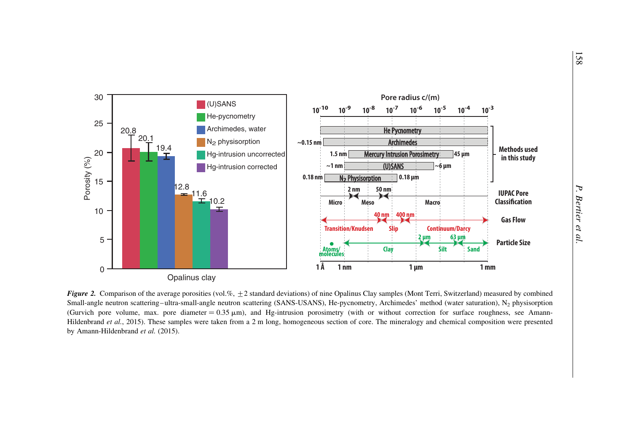

**Figure 2.** Comparison of the average porosities (vol.%,  $\pm$  2 standard deviations) of nine Opalinus Clay samples (Mont Terri, Switzerland) measured by combined Small-angle neutron scattering–ultra-small-angle neutron scattering (SANS-USANS), He-pycnometry, Archimedes' method (water saturation),  $N_2$  physisorption (Gurvich pore volume, max. pore diameter =  $0.35 \mu m$ ), and Hg-intrusion porosimetry (with or without correction for surface roughness, see Amann-Hildenbrand et al., 2015). These samples were taken from a 2 m long, homogeneous section of core. The mineralogy and chemical composition were presented by Amann-Hildenbrand et al. (2015).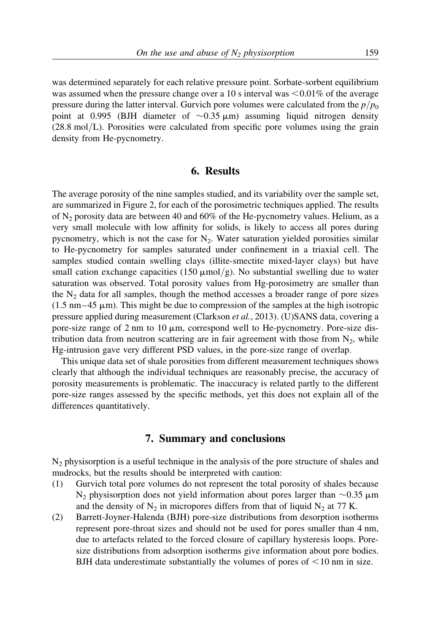was determined separately for each relative pressure point. Sorbate-sorbent equilibrium was assumed when the pressure change over a 10 s interval was  $\leq 0.01\%$  of the average pressure during the latter interval. Gurvich pore volumes were calculated from the  $p/p_0$ point at 0.995 (BJH diameter of  $\sim$ 0.35  $\mu$ m) assuming liquid nitrogen density (28.8 mol/L). Porosities were calculated from specific pore volumes using the grain density from He-pycnometry.

## 6. Results

The average porosity of the nine samples studied, and its variability over the sample set, are summarized in Figure 2, for each of the porosimetric techniques applied. The results of  $N_2$  porosity data are between 40 and 60% of the He-pycnometry values. Helium, as a very small molecule with low affinity for solids, is likely to access all pores during pycnometry, which is not the case for  $N_2$ . Water saturation yielded porosities similar to He-pycnometry for samples saturated under confinement in a triaxial cell. The samples studied contain swelling clays (illite-smectite mixed-layer clays) but have small cation exchange capacities (150  $\mu$ mol/g). No substantial swelling due to water saturation was observed. Total porosity values from Hg-porosimetry are smaller than the  $N_2$  data for all samples, though the method accesses a broader range of pore sizes  $(1.5 \text{ nm} - 45 \text{ }\mu\text{m})$ . This might be due to compression of the samples at the high isotropic pressure applied during measurement (Clarkson et al., 2013). (U)SANS data, covering a pore-size range of 2 nm to 10  $\mu$ m, correspond well to He-pycnometry. Pore-size distribution data from neutron scattering are in fair agreement with those from  $N_2$ , while Hg-intrusion gave very different PSD values, in the pore-size range of overlap.

This unique data set of shale porosities from different measurement techniques shows clearly that although the individual techniques are reasonably precise, the accuracy of porosity measurements is problematic. The inaccuracy is related partly to the different pore-size ranges assessed by the specific methods, yet this does not explain all of the differences quantitatively.

#### 7. Summary and conclusions

N2 physisorption is a useful technique in the analysis of the pore structure of shales and mudrocks, but the results should be interpreted with caution:

- (1) Gurvich total pore volumes do not represent the total porosity of shales because  $N_2$  physisorption does not yield information about pores larger than  $\sim$ 0.35  $\mu$ m and the density of  $N_2$  in micropores differs from that of liquid  $N_2$  at 77 K.
- (2) Barrett-Joyner-Halenda (BJH) pore-size distributions from desorption isotherms represent pore-throat sizes and should not be used for pores smaller than 4 nm, due to artefacts related to the forced closure of capillary hysteresis loops. Poresize distributions from adsorption isotherms give information about pore bodies. BJH data underestimate substantially the volumes of pores of  $\leq 10$  nm in size.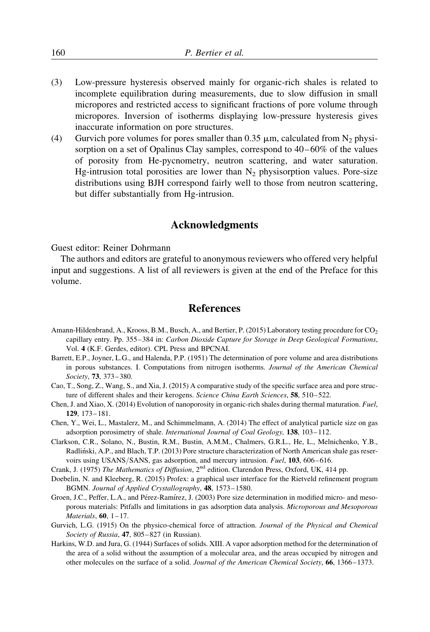- (3) Low-pressure hysteresis observed mainly for organic-rich shales is related to incomplete equilibration during measurements, due to slow diffusion in small micropores and restricted access to significant fractions of pore volume through micropores. Inversion of isotherms displaying low-pressure hysteresis gives inaccurate information on pore structures.
- (4) Gurvich pore volumes for pores smaller than 0.35  $\mu$ m, calculated from N<sub>2</sub> physisorption on a set of Opalinus Clay samples, correspond to  $40-60\%$  of the values of porosity from He-pycnometry, neutron scattering, and water saturation. Hg-intrusion total porosities are lower than  $N_2$  physisorption values. Pore-size distributions using BJH correspond fairly well to those from neutron scattering, but differ substantially from Hg-intrusion.

## Acknowledgments

Guest editor: Reiner Dohrmann

The authors and editors are grateful to anonymous reviewers who offered very helpful input and suggestions. A list of all reviewers is given at the end of the Preface for this volume.

## References

- Amann-Hildenbrand, A., Krooss, B.M., Busch, A., and Bertier, P. (2015) Laboratory testing procedure for CO<sub>2</sub> capillary entry. Pp. 355–384 in: Carbon Dioxide Capture for Storage in Deep Geological Formations, Vol. 4 (K.F. Gerdes, editor). CPL Press and BPCNAI.
- Barrett, E.P., Joyner, L.G., and Halenda, P.P. (1951) The determination of pore volume and area distributions in porous substances. I. Computations from nitrogen isotherms. Journal of the American Chemical Society, 73, 373– 380.
- Cao, T., Song, Z., Wang, S., and Xia, J. (2015) A comparative study of the specific surface area and pore structure of different shales and their kerogens. Science China Earth Sciences, 58, 510-522.
- Chen, J. and Xiao, X. (2014) Evolution of nanoporosity in organic-rich shales during thermal maturation. Fuel, 129, 173– 181.
- Chen, Y., Wei, L., Mastalerz, M., and Schimmelmann, A. (2014) The effect of analytical particle size on gas adsorption porosimetry of shale. International Journal of Coal Geology, 138, 103-112.
- Clarkson, C.R., Solano, N., Bustin, R.M., Bustin, A.M.M., Chalmers, G.R.L., He, L., Melnichenko, Y.B., Radlin´ski, A.P., and Blach, T.P. (2013) Pore structure characterization of North American shale gas reservoirs using USANS/SANS, gas adsorption, and mercury intrusion. Fuel, 103, 606-616.
- Crank, J. (1975) The Mathematics of Diffusion, 2nd edition. Clarendon Press, Oxford, UK, 414 pp.
- Doebelin, N. and Kleeberg, R. (2015) Profex: a graphical user interface for the Rietveld refinement program BGMN. Journal of Applied Crystallography, 48, 1573– 1580.
- Groen, J.C., Peffer, L.A., and Pérez-Ramírez, J. (2003) Pore size determination in modified micro- and mesoporous materials: Pitfalls and limitations in gas adsorption data analysis. Microporous and Mesoporous Materials,  $60$ ,  $1-17$ .
- Gurvich, L.G. (1915) On the physico-chemical force of attraction. Journal of the Physical and Chemical Society of Russia, 47, 805-827 (in Russian).
- Harkins, W.D. and Jura, G. (1944) Surfaces of solids. XIII. A vapor adsorption method for the determination of the area of a solid without the assumption of a molecular area, and the areas occupied by nitrogen and other molecules on the surface of a solid. Journal of the American Chemical Society, 66, 1366–1373.